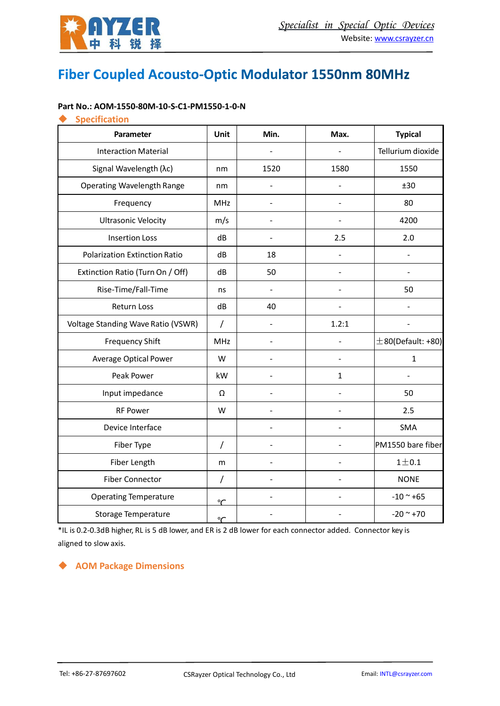

# Fiber Coupled Acousto-Optic Modulator 1550nm 80MHz

#### **Part No.: AOM-1550-80M-10-S-C1-PM1550-1-0-N**

#### ◆ **Specification**

| Parameter                            | Unit           | Min.           | Max.           | <b>Typical</b>      |
|--------------------------------------|----------------|----------------|----------------|---------------------|
| <b>Interaction Material</b>          |                |                |                | Tellurium dioxide   |
| Signal Wavelength (λc)               | nm             | 1520           | 1580           | 1550                |
| <b>Operating Wavelength Range</b>    | nm             |                |                | ±30                 |
| Frequency                            | MHz            | $\overline{a}$ | $\overline{a}$ | 80                  |
| <b>Ultrasonic Velocity</b>           | m/s            | $\overline{a}$ |                | 4200                |
| <b>Insertion Loss</b>                | dB             |                | 2.5            | 2.0                 |
| <b>Polarization Extinction Ratio</b> | dB             | 18             | $\overline{a}$ | $\overline{a}$      |
| Extinction Ratio (Turn On / Off)     | dB             | 50             |                |                     |
| Rise-Time/Fall-Time                  | ns             | $\overline{a}$ |                | 50                  |
| Return Loss                          | dB             | 40             |                |                     |
| Voltage Standing Wave Ratio (VSWR)   | $\prime$       |                | 1.2:1          |                     |
| <b>Frequency Shift</b>               | <b>MHz</b>     |                |                | $±80(Default: +80)$ |
| <b>Average Optical Power</b>         | W              |                |                | $\mathbf{1}$        |
| Peak Power                           | kW             |                | $\mathbf{1}$   |                     |
| Input impedance                      | Ω              |                |                | 50                  |
| <b>RF Power</b>                      | W              |                |                | 2.5                 |
| Device Interface                     |                | ÷              |                | <b>SMA</b>          |
| Fiber Type                           | $\overline{1}$ | $\overline{a}$ |                | PM1550 bare fiber   |
| Fiber Length                         | m              |                |                | $1\pm0.1$           |
| <b>Fiber Connector</b>               | $\prime$       |                |                | <b>NONE</b>         |
| <b>Operating Temperature</b>         | $\overline{C}$ |                |                | $-10$ ~ $+65$       |
| <b>Storage Temperature</b>           | $\mathcal{C}$  |                |                | $-20$ ~ $+70$       |

\*IL is 0.2-0.3dB higher, RL is 5 dB lower, and ER is 2 dB lower for each connector added. Connector key is aligned to slow axis.

#### ◆ **AOM Package Dimensions**